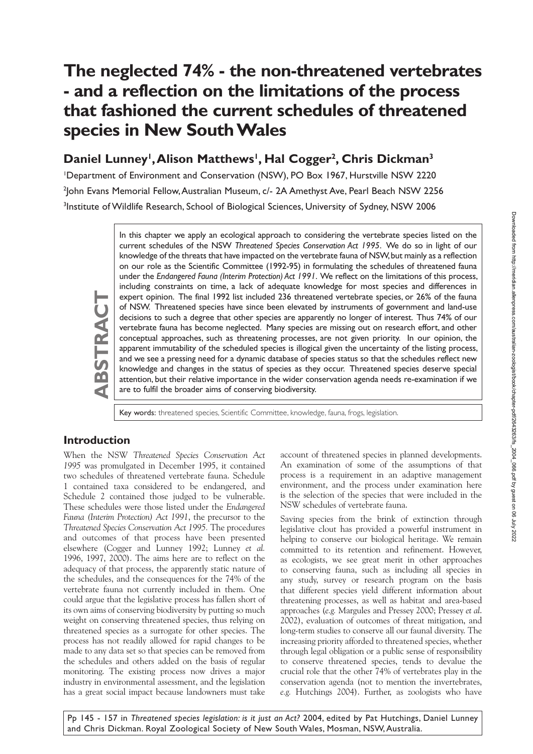# **The neglected 74% - the non-threatened vertebrates - and a reflection on the limitations of the process that fashioned the current schedules of threatened species in New South Wales**

## Daniel Lunney<sup>1</sup>, Alison Matthews<sup>1</sup>, Hal Cogger<sup>2</sup>, Chris Dickman<sup>3</sup>

1 Department of Environment and Conservation (NSW), PO Box 1967, Hurstville NSW 2220 2 John Evans Memorial Fellow, Australian Museum, c/- 2A Amethyst Ave, Pearl Beach NSW 2256 <sup>3</sup>Institute of Wildlife Research, School of Biological Sciences, University of Sydney, NSW 2006

> In this chapter we apply an ecological approach to considering the vertebrate species listed on the current schedules of the NSW *Threatened Species Conservation Act 1995*. We do so in light of our knowledge of the threats that have impacted on the vertebrate fauna of NSW, but mainly as a reflection on our role as the Scientific Committee (1992-95) in formulating the schedules of threatened fauna under the *Endangered Fauna (Interim Protection) Act 1991*. We reflect on the limitations of this process, including constraints on time, a lack of adequate knowledge for most species and differences in expert opinion. The final 1992 list included 236 threatened vertebrate species, or 26% of the fauna of NSW. Threatened species have since been elevated by instruments of government and land-use decisions to such a degree that other species are apparently no longer of interest. Thus 74% of our vertebrate fauna has become neglected. Many species are missing out on research effort, and other conceptual approaches, such as threatening processes, are not given priority. In our opinion, the apparent immutability of the scheduled species is illogical given the uncertainty of the listing process, and we see a pressing need for a dynamic database of species status so that the schedules reflect new knowledge and changes in the status of species as they occur. Threatened species deserve special attention, but their relative importance in the wider conservation agenda needs re-examination if we are to fulfil the broader aims of conserving biodiversity.

Key words: threatened species, Scientific Committee, knowledge, fauna, frogs, legislation.

#### **Introduction**

**ABSTRACT**

ABSTRAC

When the NSW *Threatened Species Conservation Act 1995* was promulgated in December 1995, it contained two schedules of threatened vertebrate fauna. Schedule 1 contained taxa considered to be endangered, and Schedule 2 contained those judged to be vulnerable. These schedules were those listed under the *Endangered Fauna (Interim Protection) Act 1991*, the precursor to the *Threatened Species Conservation Act 1995.* The procedures and outcomes of that process have been presented elsewhere (Cogger and Lunney 1992; Lunney *et al.* 1996, 1997, 2000). The aims here are to reflect on the adequacy of that process, the apparently static nature of the schedules, and the consequences for the 74% of the vertebrate fauna not currently included in them. One could argue that the legislative process has fallen short of its own aims of conserving biodiversity by putting so much weight on conserving threatened species, thus relying on threatened species as a surrogate for other species. The process has not readily allowed for rapid changes to be made to any data set so that species can be removed from the schedules and others added on the basis of regular monitoring. The existing process now drives a major industry in environmental assessment, and the legislation has a great social impact because landowners must take account of threatened species in planned developments. An examination of some of the assumptions of that process is a requirement in an adaptive management environment, and the process under examination here is the selection of the species that were included in the NSW schedules of vertebrate fauna.

Saving species from the brink of extinction through legislative clout has provided a powerful instrument in helping to conserve our biological heritage. We remain committed to its retention and refinement. However, as ecologists, we see great merit in other approaches to conserving fauna, such as including all species in any study, survey or research program on the basis that different species yield different information about threatening processes, as well as habitat and area-based approaches (*e.g.* Margules and Pressey 2000; Pressey *et al*. 2002), evaluation of outcomes of threat mitigation, and long-term studies to conserve all our faunal diversity. The increasing priority afforded to threatened species, whether through legal obligation or a public sense of responsibility to conserve threatened species, tends to devalue the crucial role that the other 74% of vertebrates play in the conservation agenda (not to mention the invertebrates, *e.g.* Hutchings 2004). Further, as zoologists who have

Pp 145 - 157 in *Threatened species legislation: is it just an Act?* 2004, edited by Pat Hutchings, Daniel Lunney and Chris Dickman. Royal Zoological Society of New South Wales, Mosman, NSW, Australia.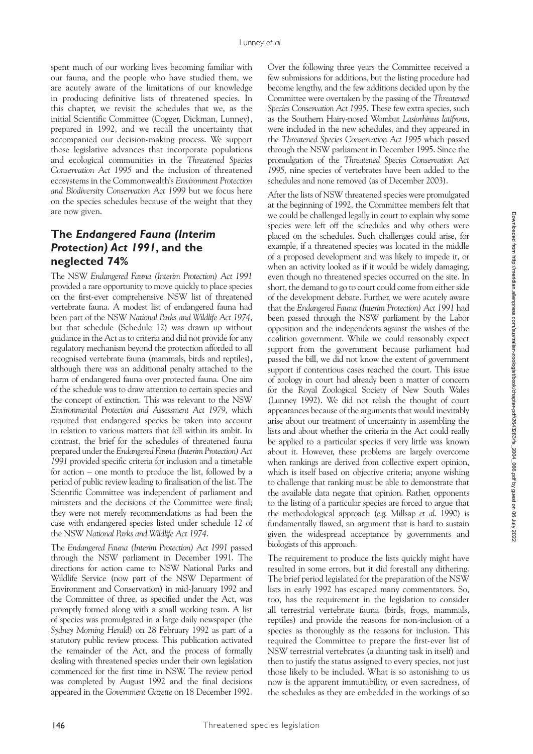spent much of our working lives becoming familiar with our fauna, and the people who have studied them, we are acutely aware of the limitations of our knowledge in producing definitive lists of threatened species. In this chapter, we revisit the schedules that we, as the initial Scientific Committee (Cogger, Dickman, Lunney), prepared in 1992, and we recall the uncertainty that accompanied our decision-making process. We support those legislative advances that incorporate populations and ecological communities in the *Threatened Species Conservation Act 1995* and the inclusion of threatened ecosystems in the Commonwealth's *Environment Protection and Biodiversity Conservation Act 1999* but we focus here on the species schedules because of the weight that they are now given.

### **The** *Endangered Fauna (Interim Protection) Act 1991***, and the neglected 74%**

The NSW *Endangered Fauna (Interim Protection) Act 1991*  provided a rare opportunity to move quickly to place species on the first-ever comprehensive NSW list of threatened vertebrate fauna. A modest list of endangered fauna had been part of the NSW *National Parks and Wildlife Act 1974*, but that schedule (Schedule 12) was drawn up without guidance in the Act as to criteria and did not provide for any regulatory mechanism beyond the protection afforded to all recognised vertebrate fauna (mammals, birds and reptiles), although there was an additional penalty attached to the harm of endangered fauna over protected fauna. One aim of the schedule was to draw attention to certain species and the concept of extinction. This was relevant to the NSW *Environmental Protection and Assessment Act 1979,* which required that endangered species be taken into account in relation to various matters that fell within its ambit. In contrast, the brief for the schedules of threatened fauna prepared under the *Endangered Fauna (Interim Protection) Act 1991* provided specific criteria for inclusion and a timetable for action – one month to produce the list, followed by a period of public review leading to finalisation of the list. The Scientific Committee was independent of parliament and ministers and the decisions of the Committee were final; they were not merely recommendations as had been the case with endangered species listed under schedule 12 of the NSW *National Parks and Wildlife Act 1974*.

The *Endangered Fauna (Interim Protection) Act 1991* passed through the NSW parliament in December 1991. The directions for action came to NSW National Parks and Wildlife Service (now part of the NSW Department of Environment and Conservation) in mid-January 1992 and the Committee of three, as specified under the Act, was promptly formed along with a small working team. A list of species was promulgated in a large daily newspaper (the *Sydney Morning Herald*) on 28 February 1992 as part of a statutory public review process. This publication activated the remainder of the Act, and the process of formally dealing with threatened species under their own legislation commenced for the first time in NSW. The review period was completed by August 1992 and the final decisions appeared in the *Government Gazette* on 18 December 1992.

Over the following three years the Committee received a few submissions for additions, but the listing procedure had become lengthy, and the few additions decided upon by the Committee were overtaken by the passing of the *Threatened Species Conservation Act 1995*. These few extra species, such as the Southern Hairy-nosed Wombat *Lasiorhinus latifrons*, were included in the new schedules, and they appeared in the *Threatened Species Conservation Act 1995* which passed through the NSW parliament in December 1995. Since the promulgation of the *Threatened Species Conservation Act 1995,* nine species of vertebrates have been added to the schedules and none removed (as of December 2003).

After the lists of NSW threatened species were promulgated at the beginning of 1992, the Committee members felt that we could be challenged legally in court to explain why some species were left off the schedules and why others were placed on the schedules. Such challenges could arise, for example, if a threatened species was located in the middle of a proposed development and was likely to impede it, or when an activity looked as if it would be widely damaging, even though no threatened species occurred on the site. In short, the demand to go to court could come from either side of the development debate. Further, we were acutely aware that the *Endangered Fauna (Interim Protection) Act 1991* had been passed through the NSW parliament by the Labor opposition and the independents against the wishes of the coalition government. While we could reasonably expect support from the government because parliament had passed the bill, we did not know the extent of government support if contentious cases reached the court. This issue of zoology in court had already been a matter of concern for the Royal Zoological Society of New South Wales (Lunney 1992). We did not relish the thought of court appearances because of the arguments that would inevitably arise about our treatment of uncertainty in assembling the lists and about whether the criteria in the Act could really be applied to a particular species if very little was known about it. However, these problems are largely overcome when rankings are derived from collective expert opinion, which is itself based on objective criteria; anyone wishing to challenge that ranking must be able to demonstrate that the available data negate that opinion. Rather, opponents to the listing of a particular species are forced to argue that the methodological approach (*e.g.* Millsap *et al.* 1990) is fundamentally flawed, an argument that is hard to sustain given the widespread acceptance by governments and biologists of this approach.

The requirement to produce the lists quickly might have resulted in some errors, but it did forestall any dithering. The brief period legislated for the preparation of the NSW lists in early 1992 has escaped many commentators. So, too, has the requirement in the legislation to consider all terrestrial vertebrate fauna (birds, frogs, mammals, reptiles) and provide the reasons for non-inclusion of a species as thoroughly as the reasons for inclusion. This required the Committee to prepare the first-ever list of NSW terrestrial vertebrates (a daunting task in itself) and then to justify the status assigned to every species, not just those likely to be included. What is so astonishing to us now is the apparent immutability, or even sacredness, of the schedules as they are embedded in the workings of so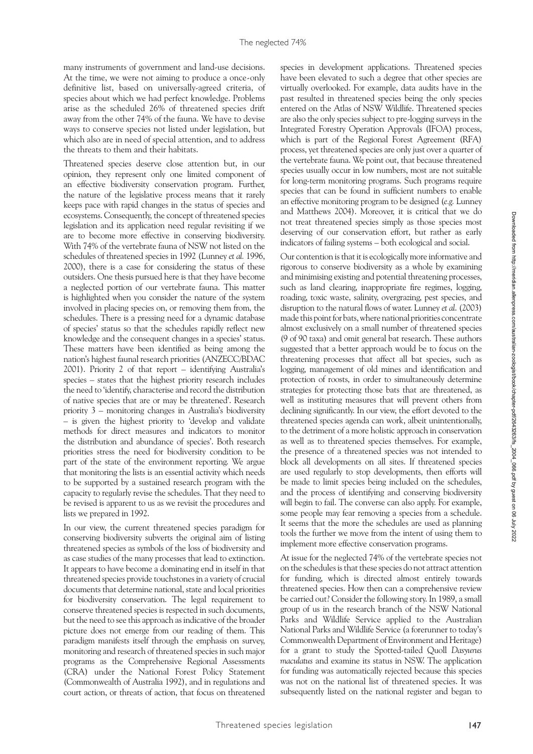many instruments of government and land-use decisions. At the time, we were not aiming to produce a once-only definitive list, based on universally-agreed criteria, of species about which we had perfect knowledge. Problems arise as the scheduled 26% of threatened species drift away from the other 74% of the fauna. We have to devise ways to conserve species not listed under legislation, but which also are in need of special attention, and to address the threats to them and their habitats.

Threatened species deserve close attention but, in our opinion, they represent only one limited component of an effective biodiversity conservation program. Further, the nature of the legislative process means that it rarely keeps pace with rapid changes in the status of species and ecosystems. Consequently, the concept of threatened species legislation and its application need regular revisiting if we are to become more effective in conserving biodiversity. With 74% of the vertebrate fauna of NSW not listed on the schedules of threatened species in 1992 (Lunney *et al.* 1996, 2000), there is a case for considering the status of these outsiders. One thesis pursued here is that they have become a neglected portion of our vertebrate fauna. This matter is highlighted when you consider the nature of the system involved in placing species on, or removing them from, the schedules. There is a pressing need for a dynamic database of species' status so that the schedules rapidly reflect new knowledge and the consequent changes in a species' status. These matters have been identified as being among the nation's highest faunal research priorities (ANZECC/BDAC 2001). Priority 2 of that report – identifying Australia's species – states that the highest priority research includes the need to 'identify, characterise and record the distribution of native species that are or may be threatened'. Research priority 3 – monitoring changes in Australia's biodiversity – is given the highest priority to 'develop and validate methods for direct measures and indicators to monitor the distribution and abundance of species'. Both research priorities stress the need for biodiversity condition to be part of the state of the environment reporting. We argue that monitoring the lists is an essential activity which needs to be supported by a sustained research program with the capacity to regularly revise the schedules. That they need to be revised is apparent to us as we revisit the procedures and lists we prepared in 1992.

In our view, the current threatened species paradigm for conserving biodiversity subverts the original aim of listing threatened species as symbols of the loss of biodiversity and as case studies of the many processes that lead to extinction. It appears to have become a dominating end in itself in that threatened species provide touchstones in a variety of crucial documents that determine national, state and local priorities for biodiversity conservation. The legal requirement to conserve threatened species is respected in such documents, but the need to see this approach as indicative of the broader picture does not emerge from our reading of them. This paradigm manifests itself through the emphasis on survey, monitoring and research of threatened species in such major programs as the Comprehensive Regional Assessments (CRA) under the National Forest Policy Statement (Commonwealth of Australia 1992), and in regulations and court action, or threats of action, that focus on threatened

species in development applications. Threatened species have been elevated to such a degree that other species are virtually overlooked. For example, data audits have in the past resulted in threatened species being the only species entered on the Atlas of NSW Wildlife. Threatened species are also the only species subject to pre-logging surveys in the Integrated Forestry Operation Approvals (IFOA) process, which is part of the Regional Forest Agreement (RFA) process, yet threatened species are only just over a quarter of the vertebrate fauna. We point out, that because threatened species usually occur in low numbers, most are not suitable for long-term monitoring programs. Such programs require species that can be found in sufficient numbers to enable an effective monitoring program to be designed (*e.g.* Lunney and Matthews 2004). Moreover, it is critical that we do not treat threatened species simply as those species most deserving of our conservation effort, but rather as early indicators of failing systems – both ecological and social.

Our contention is that it is ecologically more informative and rigorous to conserve biodiversity as a whole by examining and minimising existing and potential threatening processes, such as land clearing, inappropriate fire regimes, logging, roading, toxic waste, salinity, overgrazing, pest species, and disruption to the natural flows of water. Lunney *et al*. (2003) made this point for bats, where national priorities concentrate almost exclusively on a small number of threatened species (9 of 90 taxa) and omit general bat research. These authors suggested that a better approach would be to focus on the threatening processes that affect all bat species, such as logging, management of old mines and identification and protection of roosts, in order to simultaneously determine strategies for protecting those bats that are threatened, as well as instituting measures that will prevent others from declining significantly. In our view, the effort devoted to the threatened species agenda can work, albeit unintentionally, to the detriment of a more holistic approach in conservation as well as to threatened species themselves. For example, the presence of a threatened species was not intended to block all developments on all sites. If threatened species are used regularly to stop developments, then efforts will be made to limit species being included on the schedules, and the process of identifying and conserving biodiversity will begin to fail. The converse can also apply. For example, some people may fear removing a species from a schedule. It seems that the more the schedules are used as planning tools the further we move from the intent of using them to implement more effective conservation programs.

At issue for the neglected 74% of the vertebrate species not on the schedules is that these species do not attract attention for funding, which is directed almost entirely towards threatened species. How then can a comprehensive review be carried out? Consider the following story. In 1989, a small group of us in the research branch of the NSW National Parks and Wildlife Service applied to the Australian National Parks and Wildlife Service (a forerunner to today's Commonwealth Department of Environment and Heritage) for a grant to study the Spotted-tailed Quoll *Dasyurus maculatus* and examine its status in NSW. The application for funding was automatically rejected because this species was not on the national list of threatened species. It was subsequently listed on the national register and began to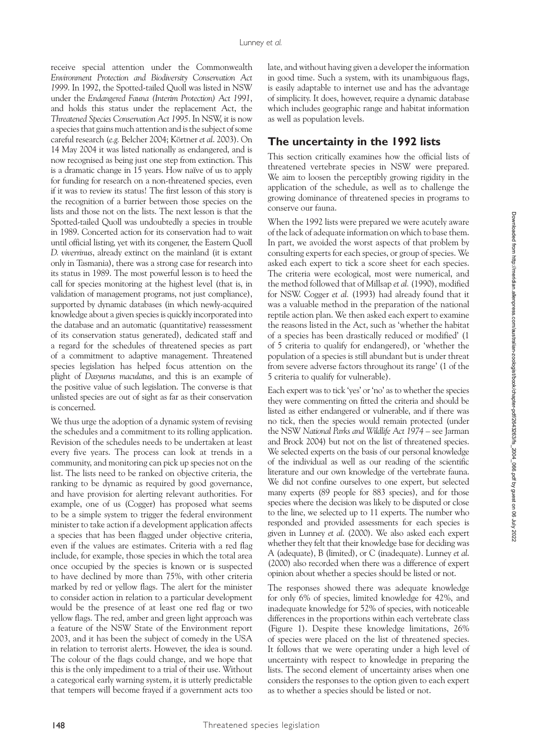receive special attention under the Commonwealth *Environment Protection and Biodiversity Conservation Act 1999*. In 1992, the Spotted-tailed Quoll was listed in NSW under the *Endangered Fauna (Interim Protection) Act 1991*, and holds this status under the replacement Act, the *Threatened Species Conservation Act 1995*. In NSW, it is now a species that gains much attention and is the subject of some careful research (*e.g.* Belcher 2004; Körtner *et al*. 2003). On 14 May 2004 it was listed nationally as endangered, and is now recognised as being just one step from extinction. This is a dramatic change in 15 years. How naïve of us to apply for funding for research on a non-threatened species, even if it was to review its status! The first lesson of this story is the recognition of a barrier between those species on the lists and those not on the lists. The next lesson is that the Spotted-tailed Quoll was undoubtedly a species in trouble in 1989. Concerted action for its conservation had to wait until official listing, yet with its congener, the Eastern Quoll *D. viverrinus*, already extinct on the mainland (it is extant only in Tasmania), there was a strong case for research into its status in 1989. The most powerful lesson is to heed the call for species monitoring at the highest level (that is, in validation of management programs, not just compliance), supported by dynamic databases (in which newly-acquired knowledge about a given species is quickly incorporated into the database and an automatic (quantitative) reassessment of its conservation status generated), dedicated staff and a regard for the schedules of threatened species as part of a commitment to adaptive management. Threatened species legislation has helped focus attention on the plight of *Dasyurus maculatus*, and this is an example of the positive value of such legislation. The converse is that unlisted species are out of sight as far as their conservation is concerned.

We thus urge the adoption of a dynamic system of revising the schedules and a commitment to its rolling application. Revision of the schedules needs to be undertaken at least every five years. The process can look at trends in a community, and monitoring can pick up species not on the list. The lists need to be ranked on objective criteria, the ranking to be dynamic as required by good governance, and have provision for alerting relevant authorities. For example, one of us (Cogger) has proposed what seems to be a simple system to trigger the federal environment minister to take action if a development application affects a species that has been flagged under objective criteria, even if the values are estimates. Criteria with a red flag include, for example, those species in which the total area once occupied by the species is known or is suspected to have declined by more than 75%, with other criteria marked by red or yellow flags. The alert for the minister to consider action in relation to a particular development would be the presence of at least one red flag or two yellow flags. The red, amber and green light approach was a feature of the NSW State of the Environment report 2003, and it has been the subject of comedy in the USA in relation to terrorist alerts. However, the idea is sound. The colour of the flags could change, and we hope that this is the only impediment to a trial of their use. Without a categorical early warning system, it is utterly predictable that tempers will become frayed if a government acts too

late, and without having given a developer the information in good time. Such a system, with its unambiguous flags, is easily adaptable to internet use and has the advantage of simplicity. It does, however, require a dynamic database which includes geographic range and habitat information as well as population levels.

#### **The uncertainty in the 1992 lists**

This section critically examines how the official lists of threatened vertebrate species in NSW were prepared. We aim to loosen the perceptibly growing rigidity in the application of the schedule, as well as to challenge the growing dominance of threatened species in programs to conserve our fauna.

When the 1992 lists were prepared we were acutely aware of the lack of adequate information on which to base them. In part, we avoided the worst aspects of that problem by consulting experts for each species, or group of species. We asked each expert to tick a score sheet for each species. The criteria were ecological, most were numerical, and the method followed that of Millsap *et al.* (1990), modified for NSW. Cogger *et al.* (1993) had already found that it was a valuable method in the preparation of the national reptile action plan. We then asked each expert to examine the reasons listed in the Act, such as 'whether the habitat of a species has been drastically reduced or modified' (1 of 5 criteria to qualify for endangered), or 'whether the population of a species is still abundant but is under threat from severe adverse factors throughout its range' (1 of the 5 criteria to qualify for vulnerable).

Each expert was to tick 'yes' or 'no' as to whether the species they were commenting on fitted the criteria and should be listed as either endangered or vulnerable, and if there was no tick, then the species would remain protected (under the NSW *National Parks and Wildlife Act 1974* – see Jarman and Brock 2004) but not on the list of threatened species. We selected experts on the basis of our personal knowledge of the individual as well as our reading of the scientific literature and our own knowledge of the vertebrate fauna. We did not confine ourselves to one expert, but selected many experts (89 people for 883 species), and for those species where the decision was likely to be disputed or close to the line, we selected up to 11 experts. The number who responded and provided assessments for each species is given in Lunney *et al*. (2000). We also asked each expert whether they felt that their knowledge base for deciding was A (adequate), B (limited), or C (inadequate). Lunney *et al*. (2000) also recorded when there was a difference of expert opinion about whether a species should be listed or not.

The responses showed there was adequate knowledge for only 6% of species, limited knowledge for 42%, and inadequate knowledge for 52% of species, with noticeable differences in the proportions within each vertebrate class (Figure 1). Despite these knowledge limitations, 26% of species were placed on the list of threatened species. It follows that we were operating under a high level of uncertainty with respect to knowledge in preparing the lists. The second element of uncertainty arises when one considers the responses to the option given to each expert as to whether a species should be listed or not.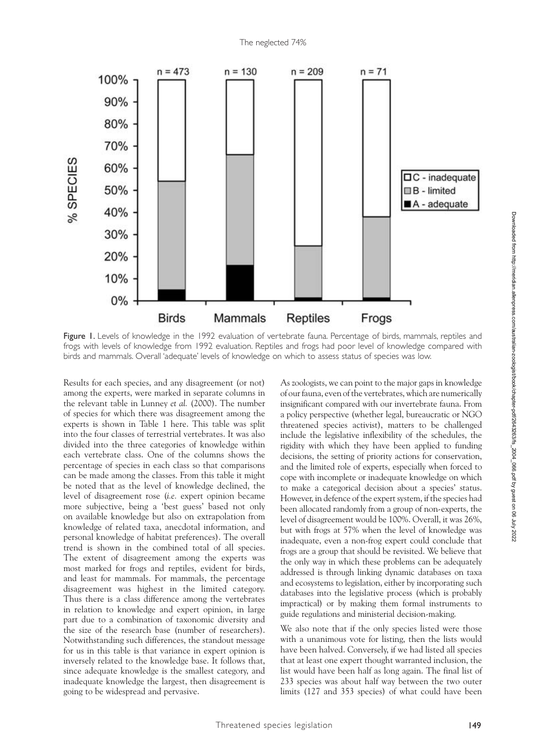

Figure 1. Levels of knowledge in the 1992 evaluation of vertebrate fauna. Percentage of birds, mammals, reptiles and frogs with levels of knowledge from 1992 evaluation. Reptiles and frogs had poor level of knowledge compared with birds and mammals. Overall 'adequate' levels of knowledge on which to assess status of species was low.

Results for each species, and any disagreement (or not) among the experts, were marked in separate columns in the relevant table in Lunney *et al.* (2000). The number of species for which there was disagreement among the experts is shown in Table 1 here. This table was split into the four classes of terrestrial vertebrates. It was also divided into the three categories of knowledge within each vertebrate class. One of the columns shows the percentage of species in each class so that comparisons can be made among the classes. From this table it might be noted that as the level of knowledge declined, the level of disagreement rose (*i.e.* expert opinion became more subjective, being a 'best guess' based not only on available knowledge but also on extrapolation from knowledge of related taxa, anecdotal information, and personal knowledge of habitat preferences). The overall trend is shown in the combined total of all species. The extent of disagreement among the experts was most marked for frogs and reptiles, evident for birds, and least for mammals. For mammals, the percentage disagreement was highest in the limited category. Thus there is a class difference among the vertebrates in relation to knowledge and expert opinion, in large part due to a combination of taxonomic diversity and the size of the research base (number of researchers). Notwithstanding such differences, the standout message for us in this table is that variance in expert opinion is inversely related to the knowledge base. It follows that, since adequate knowledge is the smallest category, and inadequate knowledge the largest, then disagreement is going to be widespread and pervasive.

As zoologists, we can point to the major gaps in knowledge of our fauna, even of the vertebrates, which are numerically insignificant compared with our invertebrate fauna. From a policy perspective (whether legal, bureaucratic or NGO threatened species activist), matters to be challenged include the legislative inflexibility of the schedules, the rigidity with which they have been applied to funding decisions, the setting of priority actions for conservation, and the limited role of experts, especially when forced to cope with incomplete or inadequate knowledge on which to make a categorical decision about a species' status. However, in defence of the expert system, if the species had been allocated randomly from a group of non-experts, the level of disagreement would be 100%. Overall, it was 26%, but with frogs at 57% when the level of knowledge was inadequate, even a non-frog expert could conclude that frogs are a group that should be revisited. We believe that the only way in which these problems can be adequately addressed is through linking dynamic databases on taxa and ecosystems to legislation, either by incorporating such databases into the legislative process (which is probably impractical) or by making them formal instruments to guide regulations and ministerial decision-making.

We also note that if the only species listed were those with a unanimous vote for listing, then the lists would have been halved. Conversely, if we had listed all species that at least one expert thought warranted inclusion, the list would have been half as long again. The final list of 233 species was about half way between the two outer limits (127 and 353 species) of what could have been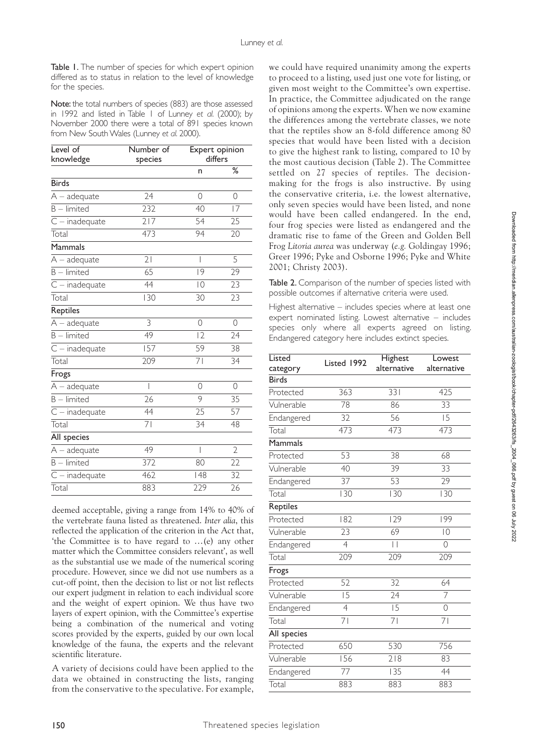Table 1. The number of species for which expert opinion differed as to status in relation to the level of knowledge for the species.

Note: the total numbers of species (883) are those assessed in 1992 and listed in Table 1 of Lunney *et al.* (2000); by November 2000 there were a total of 891 species known from New South Wales (Lunney *et al.* 2000).

| Level of<br>knowledge     | Number of<br>species     | Expert opinion<br>differs |                |
|---------------------------|--------------------------|---------------------------|----------------|
|                           |                          | n                         | %              |
| <b>Birds</b>              |                          |                           |                |
| $A - a$ dequate           | 24                       | 0                         | 0              |
| $B$ – limited             | 232                      | 40                        | 17             |
| $C$ – inadequate          | 217                      | 54                        | 25             |
| Total                     | 473                      | 94                        | 20             |
| Mammals                   |                          |                           |                |
| $\overline{A}$ – adequate | 21                       | I                         | 5              |
| $B$ – limited             | 65                       | 9                         | 29             |
| $C$ – inadequate          | 44                       | $ 0\rangle$               | 23             |
| Total                     | 130                      | 30                        | 23             |
| Reptiles                  |                          |                           |                |
| $A - a$ dequate           | 3                        | 0                         | 0              |
| $B$ – limited             | $\overline{49}$          | 2                         | 24             |
| $C$ – inadequate          | 157                      | 59                        | 38             |
| Total                     | 209                      | 71                        | 34             |
| Frogs                     |                          |                           |                |
| $\overline{A}$ – adequate | $\overline{\phantom{a}}$ | $\Omega$                  | $\Omega$       |
| $B$ – limited             | 26                       | 9                         | 35             |
| $C$ – inadequate          | 44                       | 25                        | 57             |
| Total                     | 71                       | 34                        | 48             |
| All species               |                          |                           |                |
| $A - a$ dequate           | 49                       | I                         | $\overline{2}$ |
| $B$ – limited             | 372                      | 80                        | 22             |
| $C$ – inadequate          | 462                      | 48                        | 32             |
| Total                     | 883                      | 229                       | 26             |

deemed acceptable, giving a range from 14% to 40% of the vertebrate fauna listed as threatened. *Inter alia*, this reflected the application of the criterion in the Act that, 'the Committee is to have regard to …(e) any other matter which the Committee considers relevant', as well as the substantial use we made of the numerical scoring procedure. However, since we did not use numbers as a cut-off point, then the decision to list or not list reflects our expert judgment in relation to each individual score and the weight of expert opinion. We thus have two layers of expert opinion, with the Committee's expertise being a combination of the numerical and voting scores provided by the experts, guided by our own local knowledge of the fauna, the experts and the relevant scientific literature.

A variety of decisions could have been applied to the data we obtained in constructing the lists, ranging from the conservative to the speculative. For example,

we could have required unanimity among the experts to proceed to a listing, used just one vote for listing, or given most weight to the Committee's own expertise. In practice, the Committee adjudicated on the range of opinions among the experts. When we now examine the differences among the vertebrate classes, we note that the reptiles show an 8-fold difference among 80 species that would have been listed with a decision to give the highest rank to listing, compared to 10 by the most cautious decision (Table 2). The Committee settled on 27 species of reptiles. The decisionmaking for the frogs is also instructive. By using the conservative criteria, i.e. the lowest alternative, only seven species would have been listed, and none would have been called endangered. In the end, four frog species were listed as endangered and the dramatic rise to fame of the Green and Golden Bell Frog *Litoria aurea* was underway (*e.g.* Goldingay 1996; Greer 1996; Pyke and Osborne 1996; Pyke and White 2001; Christy 2003).

Table 2. Comparison of the number of species listed with possible outcomes if alternative criteria were used.

Highest alternative – includes species where at least one expert nominated listing. Lowest alternative – includes species only where all experts agreed on listing. Endangered category here includes extinct species.

| Listed<br>category        | Listed 1992    | Highest<br>alternative | Lowest<br>alternative |
|---------------------------|----------------|------------------------|-----------------------|
| <b>Birds</b>              |                |                        |                       |
| Protected                 | 363            | 331                    | 425                   |
| Vulnerable                | 78             | 86                     | 33                    |
| Endangered                | 32             | 56                     | 15                    |
| Total                     | 473            | 473                    | 473                   |
| Mammals                   |                |                        |                       |
| Protected                 | 53             | 38                     | 68                    |
| Vulnerable                | 40             | 39                     | 33                    |
| Endangered                | 37             | 53                     | 29                    |
| Total                     | 130            | 130                    | 130                   |
| Reptiles                  |                |                        |                       |
| Protected                 | 182            | 129                    | 199                   |
| Vulnerable                | 23             | 69                     | $\overline{0}$        |
| Endangered                | $\overline{4}$ | $\vert \ \vert$        | $\circ$               |
| Total                     | 209            | 209                    | 209                   |
| Frogs                     |                |                        |                       |
| Protected                 | 52             | 32                     | 64                    |
| Vulnerable                | 15             | 24                     | $\overline{7}$        |
| Endangered                | $\overline{4}$ | $\overline{15}$        | $\circ$               |
| Total                     | $\overline{7}$ | $\overline{71}$        | 71                    |
| All species               |                |                        |                       |
| Protected                 | 650            | 530                    | 756                   |
| Vulnerable                | 156            | 218                    | 83                    |
| Endangered                | 77             | 135                    | 44                    |
| $\overline{\text{Total}}$ | 883            | 883                    | 883                   |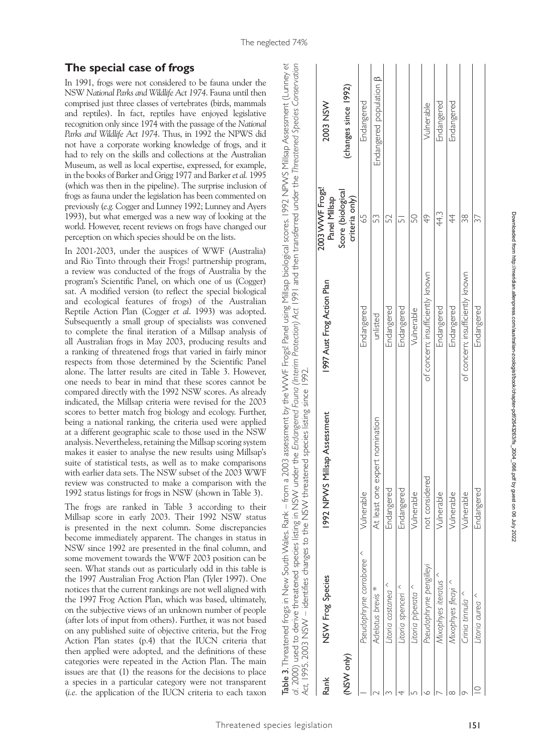|             |                                      | al. 2000) used to derive threatened species listing in NSVV under the Endangered Fauna (Interim Protection) Act 1991 and then transferred under the Threatened Species Conservation<br>Act, 1995. 2003 NSW – identifies changes to the NSW threatened species listing since 1992. |                                  |                                     |                               |
|-------------|--------------------------------------|-----------------------------------------------------------------------------------------------------------------------------------------------------------------------------------------------------------------------------------------------------------------------------------|----------------------------------|-------------------------------------|-------------------------------|
| Rank        | NSW Frog Species                     | 1992 NPWS Millsap Assessment                                                                                                                                                                                                                                                      | 1997 Aust Frog Action Plan       | 2003 WWF Frogs!<br>Panel Millsap    | 2003 NSW                      |
| (NSVV only) |                                      |                                                                                                                                                                                                                                                                                   |                                  | Score (biological<br>criteria only) | (changes since 1992)          |
|             | $\langle$<br>Pseudophryne corroboree | Vulnerable                                                                                                                                                                                                                                                                        | Endangered                       | 59                                  | Endangered                    |
|             | Adelotus brevis *                    | At least one expert nomination                                                                                                                                                                                                                                                    | unlisted                         | 53                                  | Endangered population $\beta$ |
|             | Litoria castanea                     | Endangered                                                                                                                                                                                                                                                                        | Endangered                       | 52                                  |                               |
|             | Litoria spenceri <sup>A</sup>        | Endangered                                                                                                                                                                                                                                                                        | Endangered                       |                                     |                               |
|             | Litoria piperata                     | Vulnerable                                                                                                                                                                                                                                                                        | Vulnerable                       | 50                                  |                               |
|             | Pseudophryne pengilleyi              | not considered                                                                                                                                                                                                                                                                    | of concern; insufficiently known | 49                                  | Vulnerable                    |
|             | Mixophyes iteratus ^                 | Vulnerable                                                                                                                                                                                                                                                                        | Endangered                       | 44.3                                | Endangered                    |
|             | Mixophyes fleayi ^                   | Vulnerable                                                                                                                                                                                                                                                                        | Endangered                       | 4                                   | Endangered                    |
|             | Crinia tinnula ^                     | Vulnerable                                                                                                                                                                                                                                                                        | of concern; insufficiently known | 88                                  |                               |
|             | $\langle$<br>Litoria aurea           | Endangered                                                                                                                                                                                                                                                                        | Endangered                       | 37                                  |                               |
|             |                                      |                                                                                                                                                                                                                                                                                   |                                  |                                     |                               |

Table 3. Threatened frogs in New South Wales. Rank – from a 2003 assessment by the WWF Frogs! Panel using Millsap biological scores. 1992 NPWS Millsap Assessment (Lunney *et al.* 2000) used to derive threatened species listing in NSW under the *Endangered Fauna (Interim Protection) Act* 1991 and then transferred under the *Threatened Species Conservation* 

Table 3. Threatened frogs in New South Wales. Rank – from a 2003 assessment by the WWF Frogs! Panel using Millsap biological scores. 1992 NPWS Millsap Assessment (Lunney et

#### **The special case of frogs**

In 1991, frogs were not considered to be fauna under the NSW *National Parks and Wildlife Act 1974*. Fauna until then comprised just three classes of vertebrates (birds, mammals and reptiles). In fact, reptiles have enjoyed legislative recognition only since 1974 with the passage of the *National Parks and Wildlife Act 1974*. Thus, in 1992 the NPWS did not have a corporate working knowledge of frogs, and it had to rely on the skills and collections at the Australian Museum, as well as local expertise, expressed, for example, in the books of Barker and Grigg 1977 and Barker *et al.* 1995 (which was then in the pipeline). The surprise inclusion of frogs as fauna under the legislation has been commented on previously (*e.g.* Cogger and Lunney 1992; Lunney and Ayers 1993), but what emerged was a new way of looking at the world. However, recent reviews on frogs have changed our perception on which species should be on the lists.

In 2001-2003, under the auspices of WWF (Australia) and Rio Tinto through their Frogs! partnership program, a review was conducted of the frogs of Australia by the program's Scientific Panel, on which one of us (Cogger) sat. A modified version (to reflect the special biological and ecological features of frogs) of the Australian Reptile Action Plan (Cogger *et al*. 1993) was adopted. Subsequently a small group of specialists was convened to complete the final iteration of a Millsap analysis of all Australian frogs in May 2003, producing results and a ranking of threatened frogs that varied in fairly minor respects from those determined by the Scientific Panel alone. The latter results are cited in Table 3. However, one needs to bear in mind that these scores cannot be compared directly with the 1992 NSW scores. As already indicated, the Millsap criteria were revised for the 2003 scores to better match frog biology and ecology. Further, being a national ranking, the criteria used were applied at a different geographic scale to those used in the NSW analysis. Nevertheless, retaining the Millsap scoring system makes it easier to analyse the new results using Millsap's suite of statistical tests, as well as to make comparisons with earlier data sets. The NSW subset of the 2003 WWF review was constructed to make a comparison with the 1992 status listings for frogs in NSW (shown in Table 3).

The frogs are ranked in Table 3 according to their Millsap score in early 2003. Their 1992 NSW status is presented in the next column. Some discrepancies become immediately apparent. The changes in status in NSW since 1992 are presented in the final column, and some movement towards the WWF 2003 position can be seen. What stands out as particularly odd in this table is the 1997 Australian Frog Action Plan (Tyler 1997). One notices that the current rankings are not well aligned with the 1997 Frog Action Plan, which was based, ultimately, on the subjective views of an unknown number of people (after lots of input from others). Further, it was not based on any published suite of objective criteria, but the Frog Action Plan states (p.4) that the IUCN criteria that then applied were adopted, and the definitions of these categories were repeated in the Action Plan. The main issues are that (1) the reasons for the decisions to place a species in a particular category were not transparent (*i.e.* the application of the IUCN criteria to each taxon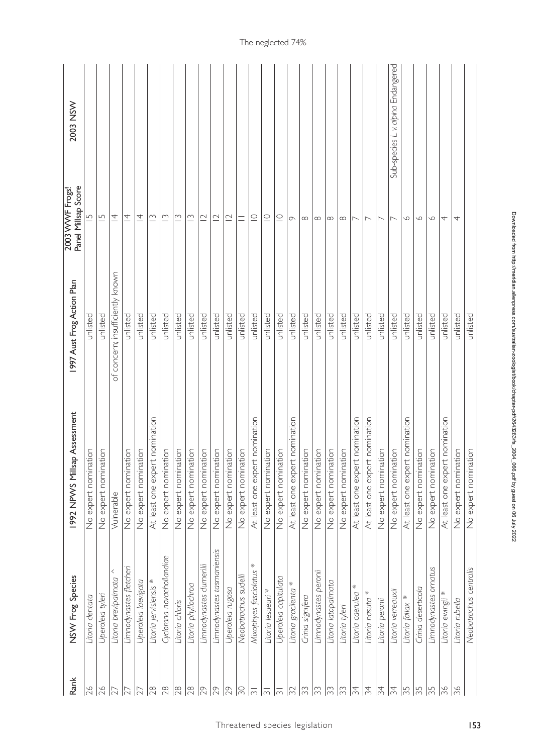| $\infty$<br>$\overline{4}$<br>$\overline{4}$<br>unlisted<br>unlisted<br>unlisted<br>unlisted<br>unlisted<br>unlisted<br>At least one expert nomination<br>At least one expert nomination<br>No expert nomination<br>No expert nomination<br>No expert nomination<br>No expert nomination | $\infty$<br>$\infty$<br>unlisted<br>No expert nomination | $\overline{\phantom{a}}$<br>$\sim$<br>unlisted<br>unlisted<br>No expert nomination | $\overline{\phantom{a}}$<br>unlisted<br>unlisted<br>At least one expert nomination<br>At least one expert nomination<br>No expert nomination | $ \infty  \infty$<br>unlisted<br>No expert nomination | $ \infty $<br>unlisted<br>unlisted<br>No expert nomination<br>No expert nomination | $\sigma$<br>unlisted<br>At least one expert nomination | $\subseteq$<br>unlisted<br>No expert nomination | $\subseteq$<br>unlisted<br>No expert nomination | $\subseteq$<br>unlisted<br>At least one expert nomination | $\equiv$<br>unlisted<br>No expert nomination | unlisted<br>No expert nomination | $\frac{10}{2}$ $\frac{10}{2}$ $\frac{10}{2}$<br>unlisted<br>No expert nomination<br>No expert nomination | unlisted   | unlisted<br>No expert nomination | $\sim$<br>unlisted<br>No expert nomination | $\sim$<br>unlisted<br>No expert nomination | $\downarrow$<br>$\sim$<br>unlisted<br>unlisted<br>nination<br>At least one expert nor<br>No expert nomination | $\downarrow$<br>unlisted<br>No expert nomination | $\vert \nightharpoondown$<br>ntly known<br>insufficie<br>ē<br>con<br>$\sigma$<br>Vulnerable | ∣∽<br>unlisted<br>unlisted<br>nation<br>nomination<br>No expert nomin<br>expert<br>$\frac{1}{2}$ | 2003 WVVF Frogs!<br>Panel Millsap Score<br> 5<br>Plan<br>Aust Frog Action<br>1997<br>1992 NPWS Millsap Assessment |
|------------------------------------------------------------------------------------------------------------------------------------------------------------------------------------------------------------------------------------------------------------------------------------------|----------------------------------------------------------|------------------------------------------------------------------------------------|----------------------------------------------------------------------------------------------------------------------------------------------|-------------------------------------------------------|------------------------------------------------------------------------------------|--------------------------------------------------------|-------------------------------------------------|-------------------------------------------------|-----------------------------------------------------------|----------------------------------------------|----------------------------------|----------------------------------------------------------------------------------------------------------|------------|----------------------------------|--------------------------------------------|--------------------------------------------|---------------------------------------------------------------------------------------------------------------|--------------------------------------------------|---------------------------------------------------------------------------------------------|--------------------------------------------------------------------------------------------------|-------------------------------------------------------------------------------------------------------------------|
|                                                                                                                                                                                                                                                                                          |                                                          |                                                                                    |                                                                                                                                              |                                                       |                                                                                    |                                                        |                                                 |                                                 |                                                           |                                              |                                  |                                                                                                          |            |                                  |                                            |                                            |                                                                                                               |                                                  |                                                                                             |                                                                                                  |                                                                                                                   |
|                                                                                                                                                                                                                                                                                          |                                                          |                                                                                    |                                                                                                                                              |                                                       |                                                                                    |                                                        |                                                 |                                                 |                                                           |                                              |                                  |                                                                                                          |            |                                  |                                            |                                            |                                                                                                               |                                                  |                                                                                             |                                                                                                  |                                                                                                                   |
| Limnodynastes ornatus<br>Neobatrachus centralis<br>Crinia deserticola<br>*<br>Litoria fallax *<br>Litoria ewingii<br>Litoria rubella                                                                                                                                                     | Litoria verreauxii                                       | Litoria nasuta *<br>Litoria peronii                                                | $\ast$<br>Litoria caerulea<br>Litoria tyleri                                                                                                 | Litoria latopalmata                                   | Limnodynastes peronii<br>Crinia signifera                                          | Litoria gracilenta *                                   | Uperoleia capitulata                            | Litoria lesueuri v                              | $\ast$<br>Mixophyes fasciolatus                           | Neobatrachus sudelli                         | Uperoleia rugosa                 | Limnodynastes dumerilii<br>Limnodynastes tasmaniensis                                                    |            | Litoria phyllochroa              | Litoria chloris                            | Cyclorana novaehollandiae                  | *<br>Uperoleia laevigata<br>Litoria jervisiensis                                                              | Limnodynastes fletchen                           | $\vert$ <<br>Litoria brevipalmata                                                           | Uperoleia tylen<br>Litoria dentata                                                               | NSW Frog Species                                                                                                  |
| $\frac{5}{3}$<br>$\frac{5}{2}$<br>$\frac{5}{2}$<br>36<br>36                                                                                                                                                                                                                              | $\overline{\mathcal{L}}$                                 | $\frac{5}{4}$<br>$\overline{\mathcal{Z}}$                                          | $\frac{5}{4}$<br>$\frac{2}{3}$                                                                                                               | 33                                                    | $\frac{1}{2}$<br>$\Im$                                                             | $\approx$                                              | $\overline{m}$                                  | $\overline{\overline{\overline{m}}}$            | $ \overline{\widetilde{\phantom{m}}}\!\rangle$            | $\frac{1}{20}$                               | $\sqrt{2}$                       | $\sqrt{29}$                                                                                              | $\sqrt{2}$ | $\frac{8}{28}$                   | $\frac{8}{28}$                             | $\frac{8}{28}$                             | $\sqrt{8}$<br>$\overline{27}$                                                                                 | 12                                               | ä                                                                                           | $\frac{97}{2}$<br>$\beta$                                                                        | Rank                                                                                                              |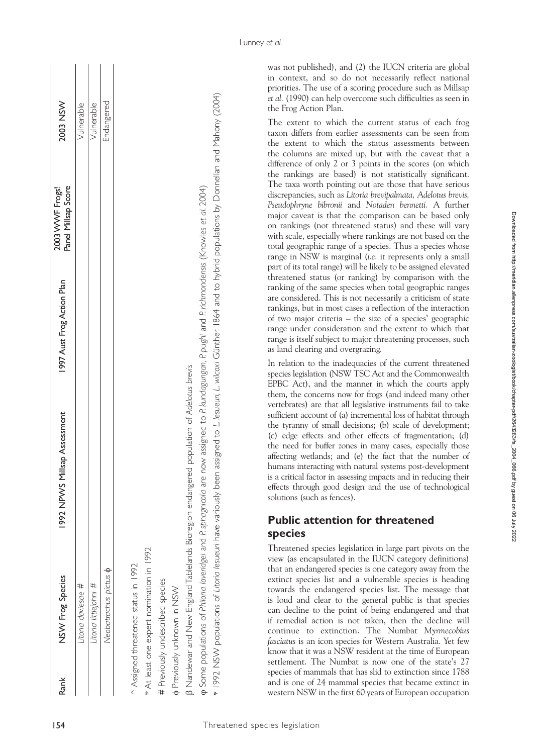| J<br>۱<br>ׇ֦֚֚֡                                            |
|------------------------------------------------------------|
|                                                            |
|                                                            |
| l                                                          |
|                                                            |
|                                                            |
|                                                            |
|                                                            |
|                                                            |
|                                                            |
|                                                            |
|                                                            |
| t                                                          |
| j<br>֠                                                     |
| ļ<br>i                                                     |
|                                                            |
| ׇ֦֚֘֝֬<br>֖֖֖֖֖֖֧ׅ֖ׅ֖֧֚֚֚֚֚֚֚֚֚֚֚֚֚֚֚֚֚֚֚֚֚֚֬֝֓֬֝֬֓֬֓֞֬֝֓֬ |
|                                                            |
| 5                                                          |
| 5                                                          |
| i                                                          |
| $\overline{\phantom{a}}$<br>i                              |
| Ï<br>ׇ֠                                                    |
| $\overline{a}$                                             |
| Ï<br>ì                                                     |
| l                                                          |
| l<br>ׇ֚֕֡                                                  |
| ׇ֚֘֡                                                       |
| i<br>İ<br>ś<br>֚֕֡֡<br>j                                   |
|                                                            |
| ì                                                          |
| l                                                          |
| i<br>í                                                     |
| i<br>j                                                     |
| l                                                          |
| l<br>١                                                     |
| ׇ֚֘֝֬                                                      |
| j                                                          |
|                                                            |
| j                                                          |
| ,                                                          |
| i                                                          |
| ۱                                                          |
|                                                            |
|                                                            |
| i<br>I                                                     |
| į<br>i<br>d<br>١                                           |
|                                                            |
| ı<br>Ļ                                                     |
| i                                                          |
| i                                                          |
| Ï<br>┇                                                     |
|                                                            |
|                                                            |
| ļ                                                          |
| ֧֧ׅ֧֧֧֧ׅ֧֚֚֚֚֚֚֚֚֚֚֚֚֚֚֚֚֚֚֚֚֚֚֚֚֚֚֡֝֓֜֝֟֓֝֓֝֓֜            |
| í                                                          |
|                                                            |
| ī<br>۱                                                     |
|                                                            |
|                                                            |
| i                                                          |
| Ş                                                          |
|                                                            |
|                                                            |
|                                                            |

| Rank | NSW Frog Species           | sap Assessment<br>992 NPVVS Mills: | 1997 Aust Frog Action Plan | 2003 WWF Frogs!<br><sup>3</sup> anel Millsap Score | 2003 NSW   |
|------|----------------------------|------------------------------------|----------------------------|----------------------------------------------------|------------|
|      | itoria daviesae #          |                                    |                            |                                                    | Vulnerable |
|      | itoria littlejohni #       |                                    |                            |                                                    | Vulnerable |
|      | Jeobatrachus pictus $\phi$ |                                    |                            |                                                    | Endangered |
|      |                            |                                    |                            |                                                    |            |

was not published), and (2) the IUCN criteria are global in context, and so do not necessarily reflect national priorities. The use of a scoring procedure such as Millsap *et al.* (1990) can help overcome such difficulties as seen in the Frog Action Plan.

Lunney *et al.*

Associated the second matrix of  $M_{\text{eff}}$  and  $M_{\text{eff}}$  and  $M_{\text{eff}}$  and  $M_{\text{eff}}$  and  $M_{\text{eff}}$  and  $M_{\text{eff}}$  and  $M_{\text{eff}}$  and  $M_{\text{eff}}$  and  $M_{\text{eff}}$  and  $M_{\text{eff}}$  and  $M_{\text{eff}}$  and  $M_{\text{eff}}$  and  $M_{\text{eff}}$  and  $M_{\text{eff$ The extent to which the current status of each frog taxon differs from earlier assessments can be seen from the extent to which the status assessments between the columns are mixed up, but with the caveat that a difference of only 2 or 3 points in the scores (on which the rankings are based) is not statistically significant. The taxa worth pointing out are those that have serious discrepancies, such as *Litoria brevipalmata, Adelotus brevis, Pseudophryne bibronii* and *Notaden bennetti.* A further major caveat is that the comparison can be based only on rankings (not threatened status) and these will vary with scale, especially where rankings are not based on the total geographic range of a species. Thus a species whose range in NSW is marginal (*i.e.* it represents only a small part of its total range) will be likely to be assigned elevated threatened status (or ranking) by comparison with the ranking of the same species when total geographic ranges are considered. This is not necessarily a criticism of state rankings, but in most cases a reflection of the interaction of two major criteria – the size of a species' geographic range under consideration and the extent to which that range is itself subject to major threatening processes, such as land clearing and overgrazing.

In relation to the inadequacies of the current threatened species legislation (NSW TSC Act and the Commonwealth EPBC Act), and the manner in which the courts apply them, the concerns now for frogs (and indeed many other vertebrates) are that all legislative instruments fail to take sufficient account of (a) incremental loss of habitat through the tyranny of small decisions; (b) scale of development; (c) edge effects and other effects of fragmentation; (d) the need for buffer zones in many cases, especially those affecting wetlands; and (e) the fact that the number of humans interacting with natural systems post-development is a critical factor in assessing impacts and in reducing their effects through good design and the use of technological solutions (such as fences).

# **Public attention for threatened species**

Threatened species legislation in large part pivots on the view (as encapsulated in the IUCN category definitions) that an endangered species is one category away from the extinct species list and a vulnerable species is heading towards the endangered species list. The message that is loud and clear to the general public is that species can decline to the point of being endangered and that if remedial action is not taken, then the decline will continue to extinction. The Numbat *Myrmecobius fasciatus* is an icon species for Western Australia. Yet few know that it was a NSW resident at the time of European settlement. The Numbat is now one of the state's 27 species of mammals that has slid to extinction since 1788 and is one of 24 mammal species that became extinct in western NSW in the first 60 years of European occupation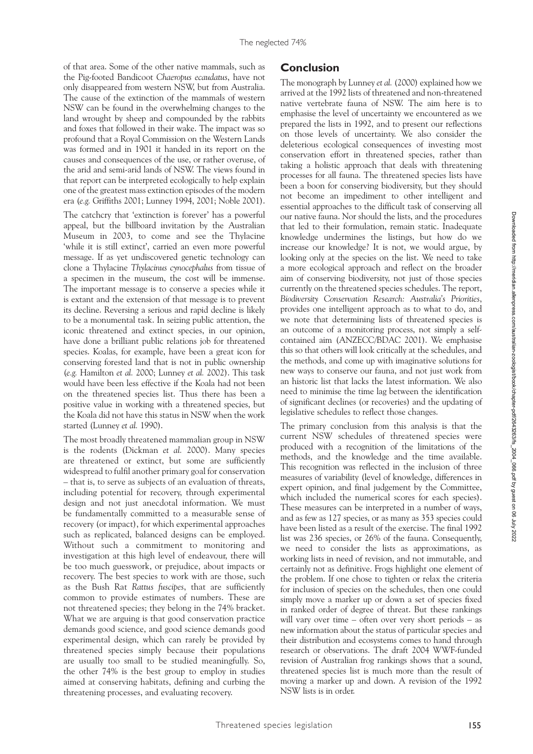of that area. Some of the other native mammals, such as the Pig-footed Bandicoot *Chaeropus ecaudatus*, have not only disappeared from western NSW, but from Australia. The cause of the extinction of the mammals of western NSW can be found in the overwhelming changes to the land wrought by sheep and compounded by the rabbits and foxes that followed in their wake. The impact was so profound that a Royal Commission on the Western Lands was formed and in 1901 it handed in its report on the causes and consequences of the use, or rather overuse, of the arid and semi-arid lands of NSW. The views found in that report can be interpreted ecologically to help explain one of the greatest mass extinction episodes of the modern era (*e.g.* Griffiths 2001; Lunney 1994, 2001; Noble 2001).

The catchcry that 'extinction is forever' has a powerful appeal, but the billboard invitation by the Australian Museum in 2003, to come and see the Thylacine 'while it is still extinct', carried an even more powerful message. If as yet undiscovered genetic technology can clone a Thylacine *Thylacinus cynocephalus* from tissue of a specimen in the museum, the cost will be immense. The important message is to conserve a species while it is extant and the extension of that message is to prevent its decline. Reversing a serious and rapid decline is likely to be a monumental task. In seizing public attention, the iconic threatened and extinct species, in our opinion, have done a brilliant public relations job for threatened species. Koalas, for example, have been a great icon for conserving forested land that is not in public ownership (*e.g.* Hamilton *et al.* 2000; Lunney *et al.* 2002). This task would have been less effective if the Koala had not been on the threatened species list. Thus there has been a positive value in working with a threatened species, but the Koala did not have this status in NSW when the work started (Lunney *et al.* 1990).

The most broadly threatened mammalian group in NSW is the rodents (Dickman *et al.* 2000). Many species are threatened or extinct, but some are sufficiently widespread to fulfil another primary goal for conservation – that is, to serve as subjects of an evaluation of threats, including potential for recovery, through experimental design and not just anecdotal information. We must be fundamentally committed to a measurable sense of recovery (or impact), for which experimental approaches such as replicated, balanced designs can be employed. Without such a commitment to monitoring and investigation at this high level of endeavour, there will be too much guesswork, or prejudice, about impacts or recovery. The best species to work with are those, such as the Bush Rat *Rattus fuscipes*, that are sufficiently common to provide estimates of numbers. These are not threatened species; they belong in the 74% bracket. What we are arguing is that good conservation practice demands good science, and good science demands good experimental design, which can rarely be provided by threatened species simply because their populations are usually too small to be studied meaningfully. So, the other 74% is the best group to employ in studies aimed at conserving habitats, defining and curbing the threatening processes, and evaluating recovery.

## **Conclusion**

The monograph by Lunney *et al.* (2000) explained how we arrived at the 1992 lists of threatened and non-threatened native vertebrate fauna of NSW. The aim here is to emphasise the level of uncertainty we encountered as we prepared the lists in 1992, and to present our reflections on those levels of uncertainty. We also consider the deleterious ecological consequences of investing most conservation effort in threatened species, rather than taking a holistic approach that deals with threatening processes for all fauna. The threatened species lists have been a boon for conserving biodiversity, but they should not become an impediment to other intelligent and essential approaches to the difficult task of conserving all our native fauna. Nor should the lists, and the procedures that led to their formulation, remain static. Inadequate knowledge undermines the listings, but how do we increase our knowledge? It is not, we would argue, by looking only at the species on the list. We need to take a more ecological approach and reflect on the broader aim of conserving biodiversity, not just of those species currently on the threatened species schedules. The report, *Biodiversity Conservation Research: Australia's Priorities*, provides one intelligent approach as to what to do, and we note that determining lists of threatened species is an outcome of a monitoring process, not simply a selfcontained aim (ANZECC/BDAC 2001). We emphasise this so that others will look critically at the schedules, and the methods, and come up with imaginative solutions for new ways to conserve our fauna, and not just work from an historic list that lacks the latest information. We also need to minimise the time lag between the identification of significant declines (or recoveries) and the updating of legislative schedules to reflect those changes.

The primary conclusion from this analysis is that the current NSW schedules of threatened species were produced with a recognition of the limitations of the methods, and the knowledge and the time available. This recognition was reflected in the inclusion of three measures of variability (level of knowledge, differences in expert opinion, and final judgement by the Committee, which included the numerical scores for each species). These measures can be interpreted in a number of ways, and as few as 127 species, or as many as 353 species could have been listed as a result of the exercise. The final 1992 list was 236 species, or 26% of the fauna. Consequently, we need to consider the lists as approximations, as working lists in need of revision, and not immutable, and certainly not as definitive. Frogs highlight one element of the problem. If one chose to tighten or relax the criteria for inclusion of species on the schedules, then one could simply move a marker up or down a set of species fixed in ranked order of degree of threat. But these rankings will vary over time – often over very short periods – as new information about the status of particular species and their distribution and ecosystems comes to hand through research or observations. The draft 2004 WWF-funded revision of Australian frog rankings shows that a sound, threatened species list is much more than the result of moving a marker up and down. A revision of the 1992 NSW lists is in order.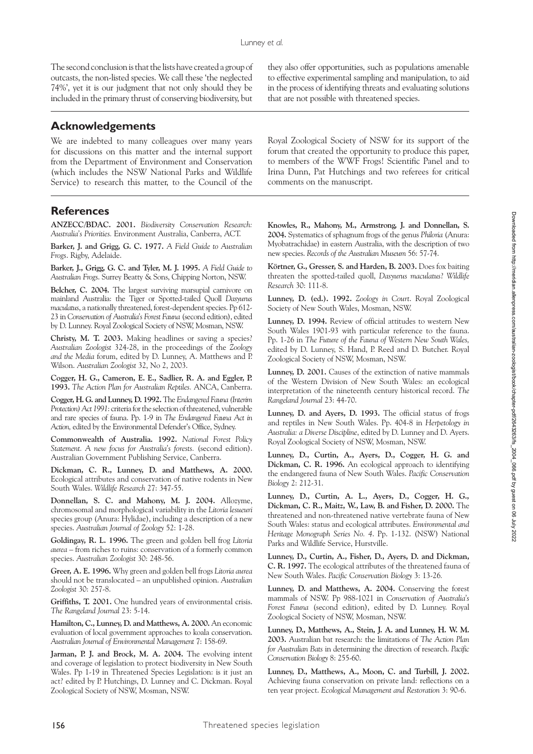The second conclusion is that the lists have created a group of outcasts, the non-listed species. We call these 'the neglected 74%', yet it is our judgment that not only should they be included in the primary thrust of conserving biodiversity, but

#### **Acknowledgements**

We are indebted to many colleagues over many years for discussions on this matter and the internal support from the Department of Environment and Conservation (which includes the NSW National Parks and Wildlife Service) to research this matter, to the Council of the they also offer opportunities, such as populations amenable to effective experimental sampling and manipulation, to aid in the process of identifying threats and evaluating solutions that are not possible with threatened species.

Royal Zoological Society of NSW for its support of the forum that created the opportunity to produce this paper, to members of the WWF Frogs! Scientific Panel and to Irina Dunn, Pat Hutchings and two referees for critical comments on the manuscript.

#### **References**

**ANZECC/BDAC. 2001.** *Biodiversity Conservation Research: Australia's Priorities.* Environment Australia, Canberra, ACT.

**Barker, J. and Grigg, G. C. 1977.** *A Field Guide to Australian Frogs*. Rigby, Adelaide.

**Barker, J., Grigg, G. C. and Tyler, M. J. 1995.** *A Field Guide to Australian Frogs*. Surrey Beatty & Sons, Chipping Norton, NSW.

**Belcher, C. 2004.** The largest surviving marsupial carnivore on mainland Australia: the Tiger or Spotted-tailed Quoll *Dasyurus maculatus*, a nationally threatened, forest-dependent species. Pp 612- 23 in *Conservation of Australia's Forest Fauna* (second edition), edited by D. Lunney. Royal Zoological Society of NSW, Mosman, NSW.

**Christy, M. T. 2003.** Making headlines or saving a species? *Australian Zoologist* 324-28, in the proceedings of the *Zoology and the Media* forum, edited by D. Lunney, A. Matthews and P. Wilson. *Australian Zoologist* 32, No 2, 2003.

**Cogger, H. G., Cameron, E. E., Sadlier, R. A. and Eggler, P. 1993.** *The Action Plan for Australian Reptiles.* ANCA, Canberra.

**Cogger, H. G. and Lunney, D. 1992.** The *Endangered Fauna (Interim Protection) Act 1991*: criteria for the selection of threatened, vulnerable and rare species of fauna. Pp. 1-9 in *The Endangered Fauna Act in Action,* edited by the Environmental Defender's Office, Sydney.

**Commonwealth of Australia. 1992.** *National Forest Policy Statement. A new focus for Australia's forests.* (second edition). Australian Government Publishing Service, Canberra.

**Dickman, C. R., Lunney, D. and Matthews, A. 2000.** Ecological attributes and conservation of native rodents in New South Wales. *Wildlife Research* 27: 347-55.

**Donnellan, S. C. and Mahony, M. J. 2004.** Allozyme, chromosomal and morphological variability in the *Litoria lesueuri* species group (Anura: Hylidae), including a description of a new species. *Australian Journal of Zoology* 52: 1-28.

**Goldingay, R. L. 1996.** The green and golden bell frog *Litoria aurea* – from riches to ruins: conservation of a formerly common species. *Australian Zoologist* 30: 248-56.

**Greer, A. E. 1996.** Why green and golden bell frogs *Litoria aurea* should not be translocated – an unpublished opinion. *Australian Zoologist* 30: 257-8.

**Griffiths, T. 2001.** One hundred years of environmental crisis. *The Rangeland Journal* 23: 5-14.

**Hamilton, C., Lunney, D. and Matthews, A. 2000.** An economic evaluation of local government approaches to koala conservation. *Australian Journal of Environmental Management* 7: 158-69.

Jarman, P. J. and Brock, M. A. 2004. The evolving intent and coverage of legislation to protect biodiversity in New South Wales. Pp 1-19 in Threatened Species Legislation: is it just an act? edited by P. Hutchings, D. Lunney and C. Dickman. Royal Zoological Society of NSW, Mosman, NSW.

**Knowles, R., Mahony, M., Armstrong, J. and Donnellan, S. 2004.** Systematics of sphagnum frogs of the genus *Philoria* (Anura: Myobatrachidae) in eastern Australia, with the description of two new species. *Records of the Australian Museum* 56: 57-74.

**Körtner, G., Gresser, S. and Harden, B. 2003.** Does fox baiting threaten the spotted-tailed quoll, *Dasyurus maculatus*? *Wildlife Research* 30: 111-8.

**Lunney, D. (ed.). 1992.** *Zoology in Court*. Royal Zoological Society of New South Wales, Mosman, NSW.

**Lunney, D. 1994.** Review of official attitudes to western New South Wales 1901-93 with particular reference to the fauna. Pp. 1-26 in *The Future of the Fauna of Western New South Wales,* edited by D. Lunney, S. Hand, P. Reed and D. Butcher. Royal Zoological Society of NSW, Mosman, NSW.

**Lunney, D. 2001.** Causes of the extinction of native mammals of the Western Division of New South Wales: an ecological interpretation of the nineteenth century historical record. *The Rangeland Journal* 23: 44-70.

**Lunney, D. and Ayers, D. 1993.** The official status of frogs and reptiles in New South Wales. Pp. 404-8 in *Herpetology in Australia: a Diverse Discipline*, edited by D. Lunney and D. Ayers. Royal Zoological Society of NSW, Mosman, NSW.

**Lunney, D., Curtin, A., Ayers, D., Cogger, H. G. and Dickman, C. R. 1996.** An ecological approach to identifying the endangered fauna of New South Wales. *Pacific Conservation Biology* 2: 212-31.

**Lunney, D., Curtin, A. L., Ayers, D., Cogger, H. G., Dickman, C. R., Maitz, W., Law, B. and Fisher, D. 2000.** The threatened and non-threatened native vertebrate fauna of New South Wales: status and ecological attributes. *Environmental and Heritage Monograph Series No. 4*. Pp. 1-132. (NSW) National Parks and Wildlife Service, Hurstville.

**Lunney, D., Curtin, A., Fisher, D., Ayers, D. and Dickman, C. R. 1997.** The ecological attributes of the threatened fauna of New South Wales. *Pacific Conservation Biology* 3: 13-26*.*

**Lunney, D. and Matthews, A. 2004.** Conserving the forest mammals of NSW. Pp 988-1021 in *Conservation of Australia's Forest Fauna* (second edition), edited by D. Lunney. Royal Zoological Society of NSW, Mosman, NSW.

**Lunney, D., Matthews, A., Stein, J. A. and Lunney, H. W. M. 2003.** Australian bat research: the limitations of *The Action Plan for Australian Bats* in determining the direction of research. *Pacific Conservation Biology* 8: 255-60.

**Lunney, D., Matthews, A., Moon, C. and Turbill, J. 2002.** Achieving fauna conservation on private land: reflections on a ten year project. *Ecological Management and Restoration* 3: 90-6.